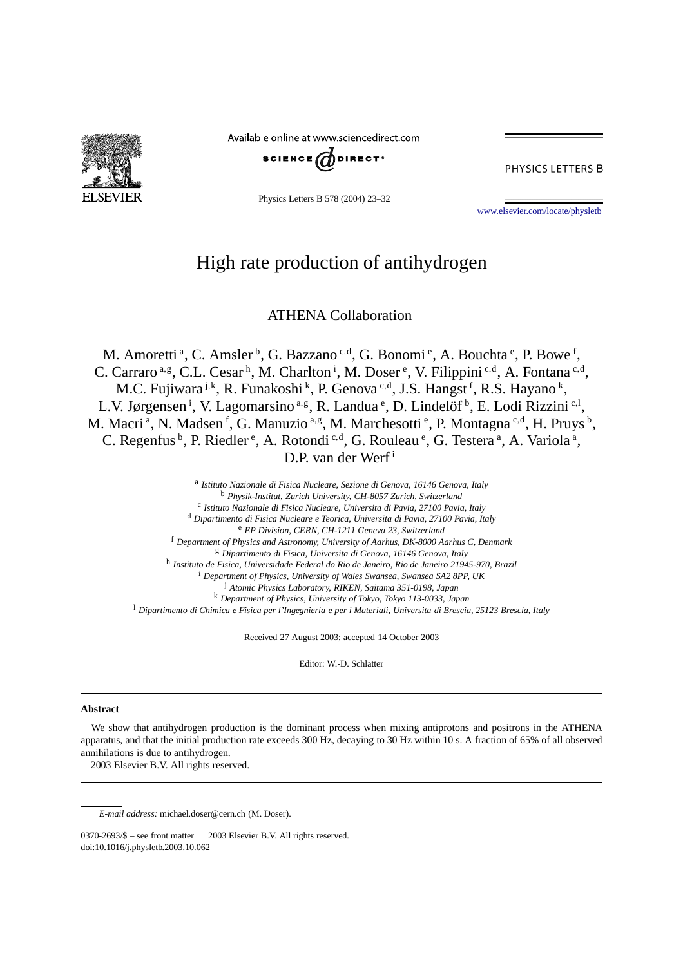

Available online at www.sciencedirect.com



PHYSICS LETTERS B

Physics Letters B 578 (2004) 23–32

[www.elsevier.com/locate/physletb](http://www.elsevier.com/locate/physletb)

# High rate production of antihydrogen

ATHENA Collaboration

M. Amoretti<sup>a</sup>, C. Amsler<sup>b</sup>, G. Bazzano<sup>c,d</sup>, G. Bonomi<sup>e</sup>, A. Bouchta<sup>e</sup>, P. Bowe<sup>f</sup>, C. Carraro<sup>a,g</sup>, C.L. Cesar<sup>h</sup>, M. Charlton<sup>i</sup>, M. Doser<sup>e</sup>, V. Filippini<sup>c,d</sup>, A. Fontana<sup>c,d</sup>, M.C. Fujiwara <sup>j,k</sup>, R. Funakoshi <sup>k</sup>, P. Genova <sup>c,d</sup>, J.S. Hangst <sup>f</sup>, R.S. Hayano <sup>k</sup>, L.V. Jørgensen<sup>i</sup>, V. Lagomarsino<sup>a,g</sup>, R. Landua<sup>e</sup>, D. Lindelöf<sup>b</sup>, E. Lodi Rizzini<sup>c,1</sup>, M. Macri<sup>a</sup>, N. Madsen<sup>f</sup>, G. Manuzio<sup>a,g</sup>, M. Marchesotti<sup>e</sup>, P. Montagna<sup>c,d</sup>, H. Pruys<sup>b</sup>, C. Regenfus <sup>b</sup>, P. Riedler<sup>e</sup>, A. Rotondi<sup>c,d</sup>, G. Rouleau<sup>e</sup>, G. Testera<sup>a</sup>, A. Variola<sup>a</sup>, D.P. van der Werf<sup>i</sup>

<sup>a</sup> *Istituto Nazionale di Fisica Nucleare, Sezione di Genova, 16146 Genova, Italy* <sup>b</sup> *Physik-Institut, Zurich University, CH-8057 Zurich, Switzerland* <sup>c</sup> *Istituto Nazionale di Fisica Nucleare, Universita di Pavia, 27100 Pavia, Italy* <sup>d</sup> *Dipartimento di Fisica Nucleare e Teorica, Universita di Pavia, 27100 Pavia, Italy* <sup>e</sup> *EP Division, CERN, CH-1211 Geneva 23, Switzerland* <sup>f</sup> *Department of Physics and Astronomy, University of Aarhus, DK-8000 Aarhus C, Denmark* <sup>g</sup> *Dipartimento di Fisica, Universita di Genova, 16146 Genova, Italy* <sup>h</sup> *Instituto de Fisica, Universidade Federal do Rio de Janeiro, Rio de Janeiro 21945-970, Brazil* <sup>i</sup> *Department of Physics, University of Wales Swansea, Swansea SA2 8PP, UK* <sup>j</sup> *Atomic Physics Laboratory, RIKEN, Saitama 351-0198, Japan* <sup>k</sup> *Department of Physics, University of Tokyo, Tokyo 113-0033, Japan* <sup>l</sup> *Dipartimento di Chimica e Fisica per l'Ingegnieria e per i Materiali, Universita di Brescia, 25123 Brescia, Italy*

Received 27 August 2003; accepted 14 October 2003

Editor: W.-D. Schlatter

#### **Abstract**

We show that antihydrogen production is the dominant process when mixing antiprotons and positrons in the ATHENA apparatus, and that the initial production rate exceeds 300 Hz, decaying to 30 Hz within 10 s. A fraction of 65% of all observed annihilations is due to antihydrogen.

2003 Elsevier B.V. All rights reserved.

*E-mail address:* michael.doser@cern.ch (M. Doser).

 $0370-2693/\$  – see front matter  $\odot$  2003 Elsevier B.V. All rights reserved. doi:10.1016/j.physletb.2003.10.062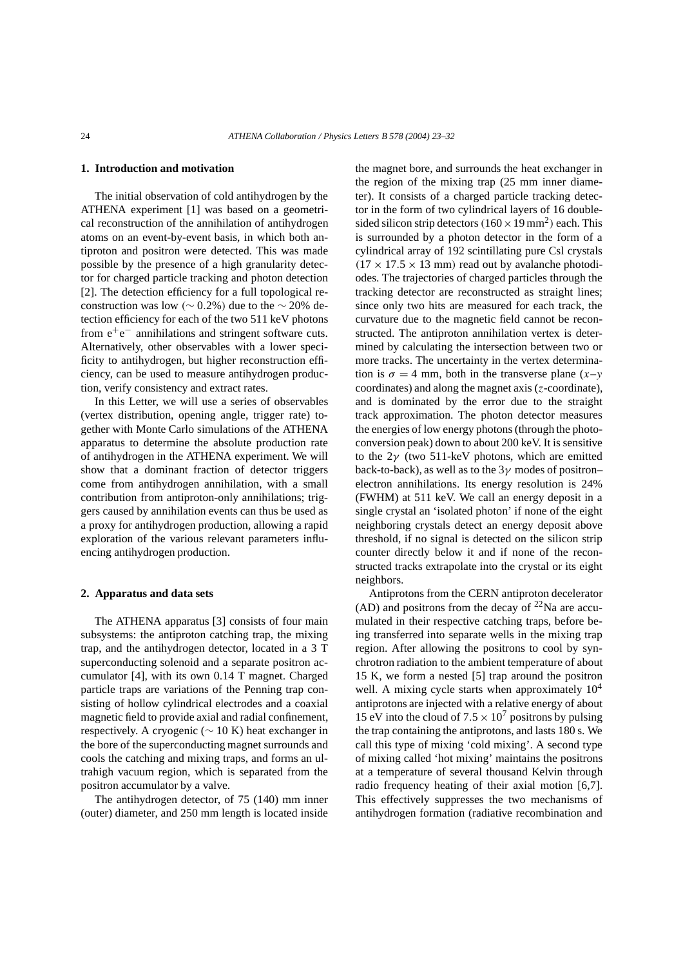## **1. Introduction and motivation**

The initial observation of cold antihydrogen by the ATHENA experiment [1] was based on a geometrical reconstruction of the annihilation of antihydrogen atoms on an event-by-event basis, in which both antiproton and positron were detected. This was made possible by the presence of a high granularity detector for charged particle tracking and photon detection [2]. The detection efficiency for a full topological reconstruction was low  $($  ~ 0.2%) due to the ~ 20% detection efficiency for each of the two 511 keV photons from  $e^+e^-$  annihilations and stringent software cuts. Alternatively, other observables with a lower specificity to antihydrogen, but higher reconstruction efficiency, can be used to measure antihydrogen production, verify consistency and extract rates.

In this Letter, we will use a series of observables (vertex distribution, opening angle, trigger rate) together with Monte Carlo simulations of the ATHENA apparatus to determine the absolute production rate of antihydrogen in the ATHENA experiment. We will show that a dominant fraction of detector triggers come from antihydrogen annihilation, with a small contribution from antiproton-only annihilations; triggers caused by annihilation events can thus be used as a proxy for antihydrogen production, allowing a rapid exploration of the various relevant parameters influencing antihydrogen production.

#### **2. Apparatus and data sets**

The ATHENA apparatus [3] consists of four main subsystems: the antiproton catching trap, the mixing trap, and the antihydrogen detector, located in a 3 T superconducting solenoid and a separate positron accumulator [4], with its own 0.14 T magnet. Charged particle traps are variations of the Penning trap consisting of hollow cylindrical electrodes and a coaxial magnetic field to provide axial and radial confinement, respectively. A cryogenic ( $\sim$  10 K) heat exchanger in the bore of the superconducting magnet surrounds and cools the catching and mixing traps, and forms an ultrahigh vacuum region, which is separated from the positron accumulator by a valve.

The antihydrogen detector, of 75 (140) mm inner (outer) diameter, and 250 mm length is located inside the magnet bore, and surrounds the heat exchanger in the region of the mixing trap (25 mm inner diameter). It consists of a charged particle tracking detector in the form of two cylindrical layers of 16 doublesided silicon strip detectors  $(160 \times 19 \text{ mm}^2)$  each. This is surrounded by a photon detector in the form of a cylindrical array of 192 scintillating pure Csl crystals  $(17 \times 17.5 \times 13$  mm) read out by avalanche photodiodes. The trajectories of charged particles through the tracking detector are reconstructed as straight lines; since only two hits are measured for each track, the curvature due to the magnetic field cannot be reconstructed. The antiproton annihilation vertex is determined by calculating the intersection between two or more tracks. The uncertainty in the vertex determination is  $\sigma = 4$  mm, both in the transverse plane  $(x - y)$ coordinates) and along the magnet axis (*z*-coordinate), and is dominated by the error due to the straight track approximation. The photon detector measures the energies of low energy photons (through the photoconversion peak) down to about 200 keV. It is sensitive to the 2*γ* (two 511-keV photons, which are emitted back-to-back), as well as to the 3*γ* modes of positron– electron annihilations. Its energy resolution is 24% (FWHM) at 511 keV. We call an energy deposit in a single crystal an 'isolated photon' if none of the eight neighboring crystals detect an energy deposit above threshold, if no signal is detected on the silicon strip counter directly below it and if none of the reconstructed tracks extrapolate into the crystal or its eight neighbors.

Antiprotons from the CERN antiproton decelerator (AD) and positrons from the decay of  $^{22}$ Na are accumulated in their respective catching traps, before being transferred into separate wells in the mixing trap region. After allowing the positrons to cool by synchrotron radiation to the ambient temperature of about 15 K, we form a nested [5] trap around the positron well. A mixing cycle starts when approximately  $10<sup>4</sup>$ antiprotons are injected with a relative energy of about 15 eV into the cloud of  $7.5 \times 10^7$  positrons by pulsing the trap containing the antiprotons, and lasts 180 s. We call this type of mixing 'cold mixing'. A second type of mixing called 'hot mixing' maintains the positrons at a temperature of several thousand Kelvin through radio frequency heating of their axial motion [6,7]. This effectively suppresses the two mechanisms of antihydrogen formation (radiative recombination and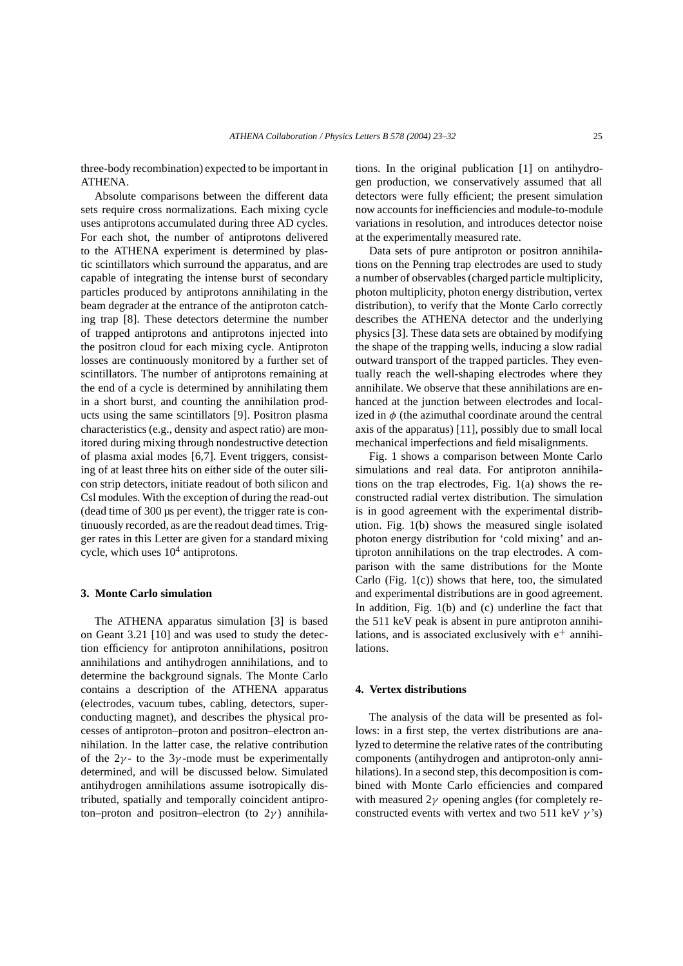three-body recombination) expected to be important in ATHENA.

Absolute comparisons between the different data sets require cross normalizations. Each mixing cycle uses antiprotons accumulated during three AD cycles. For each shot, the number of antiprotons delivered to the ATHENA experiment is determined by plastic scintillators which surround the apparatus, and are capable of integrating the intense burst of secondary particles produced by antiprotons annihilating in the beam degrader at the entrance of the antiproton catching trap [8]. These detectors determine the number of trapped antiprotons and antiprotons injected into the positron cloud for each mixing cycle. Antiproton losses are continuously monitored by a further set of scintillators. The number of antiprotons remaining at the end of a cycle is determined by annihilating them in a short burst, and counting the annihilation products using the same scintillators [9]. Positron plasma characteristics (e.g., density and aspect ratio) are monitored during mixing through nondestructive detection of plasma axial modes [6,7]. Event triggers, consisting of at least three hits on either side of the outer silicon strip detectors, initiate readout of both silicon and Csl modules. With the exception of during the read-out (dead time of 300 µs per event), the trigger rate is continuously recorded, as are the readout dead times. Trigger rates in this Letter are given for a standard mixing cycle, which uses  $10<sup>4</sup>$  antiprotons.

# **3. Monte Carlo simulation**

The ATHENA apparatus simulation [3] is based on Geant 3.21 [10] and was used to study the detection efficiency for antiproton annihilations, positron annihilations and antihydrogen annihilations, and to determine the background signals. The Monte Carlo contains a description of the ATHENA apparatus (electrodes, vacuum tubes, cabling, detectors, superconducting magnet), and describes the physical processes of antiproton–proton and positron–electron annihilation. In the latter case, the relative contribution of the  $2\gamma$ - to the 3 $\gamma$ -mode must be experimentally determined, and will be discussed below. Simulated antihydrogen annihilations assume isotropically distributed, spatially and temporally coincident antiproton–proton and positron–electron (to 2*γ* ) annihilations. In the original publication [1] on antihydrogen production, we conservatively assumed that all detectors were fully efficient; the present simulation now accounts for inefficiencies and module-to-module variations in resolution, and introduces detector noise at the experimentally measured rate.

Data sets of pure antiproton or positron annihilations on the Penning trap electrodes are used to study a number of observables (charged particle multiplicity, photon multiplicity, photon energy distribution, vertex distribution), to verify that the Monte Carlo correctly describes the ATHENA detector and the underlying physics [3]. These data sets are obtained by modifying the shape of the trapping wells, inducing a slow radial outward transport of the trapped particles. They eventually reach the well-shaping electrodes where they annihilate. We observe that these annihilations are enhanced at the junction between electrodes and localized in *φ* (the azimuthal coordinate around the central axis of the apparatus) [11], possibly due to small local mechanical imperfections and field misalignments.

Fig. 1 shows a comparison between Monte Carlo simulations and real data. For antiproton annihilations on the trap electrodes, Fig. 1(a) shows the reconstructed radial vertex distribution. The simulation is in good agreement with the experimental distribution. Fig. 1(b) shows the measured single isolated photon energy distribution for 'cold mixing' and antiproton annihilations on the trap electrodes. A comparison with the same distributions for the Monte Carlo (Fig.  $1(c)$ ) shows that here, too, the simulated and experimental distributions are in good agreement. In addition, Fig. 1(b) and (c) underline the fact that the 511 keV peak is absent in pure antiproton annihilations, and is associated exclusively with  $e^+$  annihilations.

## **4. Vertex distributions**

The analysis of the data will be presented as follows: in a first step, the vertex distributions are analyzed to determine the relative rates of the contributing components (antihydrogen and antiproton-only annihilations). In a second step, this decomposition is combined with Monte Carlo efficiencies and compared with measured 2*γ* opening angles (for completely reconstructed events with vertex and two 511 keV *γ* 's)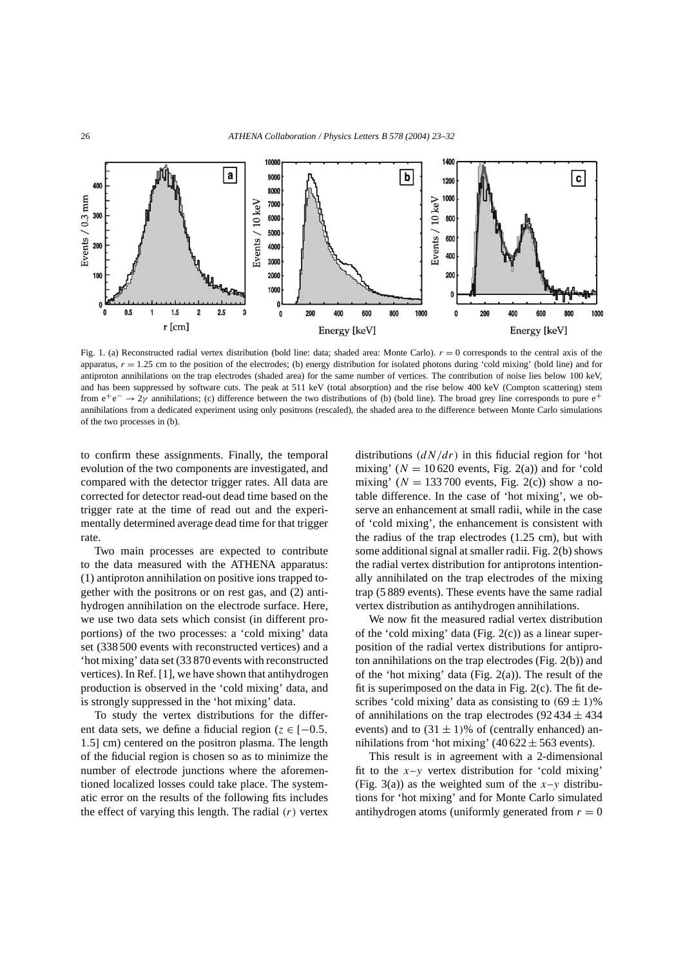

Fig. 1. (a) Reconstructed radial vertex distribution (bold line: data; shaded area: Monte Carlo).  $r = 0$  corresponds to the central axis of the apparatus,  $r = 1.25$  cm to the position of the electrodes; (b) energy distribution for isolated photons during 'cold mixing' (bold line) and for antiproton annihilations on the trap electrodes (shaded area) for the same number of vertices. The contribution of noise lies below 100 keV, and has been suppressed by software cuts. The peak at 511 keV (total absorption) and the rise below 400 keV (Compton scattering) stem from e<sup>+</sup>e<sup>−</sup> → 2*γ* annihilations; (c) difference between the two distributions of (b) (bold line). The broad grey line corresponds to pure e<sup>+</sup> annihilations from a dedicated experiment using only positrons (rescaled), the shaded area to the difference between Monte Carlo simulations of the two processes in (b).

to confirm these assignments. Finally, the temporal evolution of the two components are investigated, and compared with the detector trigger rates. All data are corrected for detector read-out dead time based on the trigger rate at the time of read out and the experimentally determined average dead time for that trigger rate.

Two main processes are expected to contribute to the data measured with the ATHENA apparatus: (1) antiproton annihilation on positive ions trapped together with the positrons or on rest gas, and (2) antihydrogen annihilation on the electrode surface. Here, we use two data sets which consist (in different proportions) of the two processes: a 'cold mixing' data set (338 500 events with reconstructed vertices) and a 'hot mixing' data set (33 870 events with reconstructed vertices). In Ref. [1], we have shown that antihydrogen production is observed in the 'cold mixing' data, and is strongly suppressed in the 'hot mixing' data.

To study the vertex distributions for the different data sets, we define a fiducial region ( $z \in [-0.5, 1]$ 1*.*5] cm) centered on the positron plasma. The length of the fiducial region is chosen so as to minimize the number of electrode junctions where the aforementioned localized losses could take place. The systematic error on the results of the following fits includes the effect of varying this length. The radial *(r)* vertex distributions *(dN/dr)* in this fiducial region for 'hot mixing'  $(N = 10620$  events, Fig. 2(a)) and for 'cold mixing' ( $N = 133700$  events, Fig. 2(c)) show a notable difference. In the case of 'hot mixing', we observe an enhancement at small radii, while in the case of 'cold mixing', the enhancement is consistent with the radius of the trap electrodes (1.25 cm), but with some additional signal at smaller radii. Fig. 2(b) shows the radial vertex distribution for antiprotons intentionally annihilated on the trap electrodes of the mixing trap (5 889 events). These events have the same radial vertex distribution as antihydrogen annihilations.

We now fit the measured radial vertex distribution of the 'cold mixing' data (Fig. 2(c)) as a linear superposition of the radial vertex distributions for antiproton annihilations on the trap electrodes (Fig. 2(b)) and of the 'hot mixing' data (Fig. 2(a)). The result of the fit is superimposed on the data in Fig. 2(c). The fit describes 'cold mixing' data as consisting to  $(69 \pm 1)\%$ of annihilations on the trap electrodes (92 434  $\pm$  434 events) and to  $(31 \pm 1)\%$  of (centrally enhanced) annihilations from 'hot mixing' (40 622  $\pm$  563 events).

This result is in agreement with a 2-dimensional fit to the  $x-y$  vertex distribution for 'cold mixing' (Fig. 3(a)) as the weighted sum of the  $x-y$  distributions for 'hot mixing' and for Monte Carlo simulated antihydrogen atoms (uniformly generated from  $r = 0$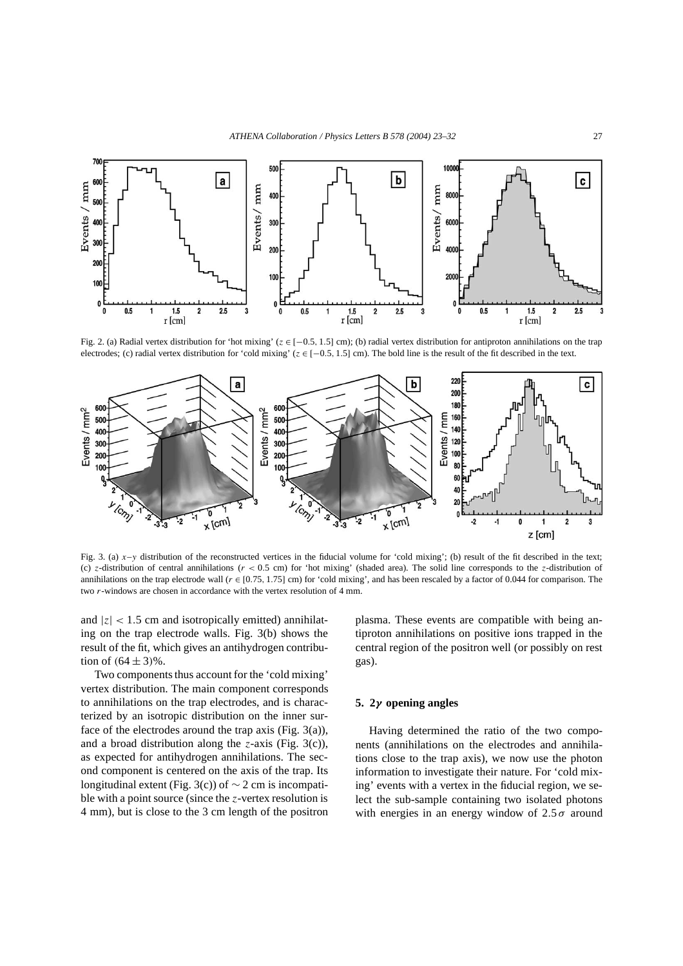

Fig. 2. (a) Radial vertex distribution for 'hot mixing' (*z* ∈ [−0*.*5*,* 1*.*5] cm); (b) radial vertex distribution for antiproton annihilations on the trap electrodes; (c) radial vertex distribution for 'cold mixing' (*z* ∈ [−0*.*5*,* 1*.*5] cm). The bold line is the result of the fit described in the text.



Fig. 3. (a)  $x-y$  distribution of the reconstructed vertices in the fiducial volume for 'cold mixing'; (b) result of the fit described in the text; (c)  $z$ -distribution of central annihilations ( $r < 0.5$  cm) for 'hot mixing' (shaded area). The solid line corresponds to the  $z$ -distribution of annihilations on the trap electrode wall  $(r \in [0.75, 1.75]$  cm) for 'cold mixing', and has been rescaled by a factor of 0.044 for comparison. The two *r*-windows are chosen in accordance with the vertex resolution of 4 mm.

and  $|z|$  < 1.5 cm and isotropically emitted) annihilating on the trap electrode walls. Fig. 3(b) shows the result of the fit, which gives an antihydrogen contribution of  $(64 \pm 3)\%$ .

Two components thus account for the 'cold mixing' vertex distribution. The main component corresponds to annihilations on the trap electrodes, and is characterized by an isotropic distribution on the inner surface of the electrodes around the trap axis (Fig. 3(a)), and a broad distribution along the *z*-axis (Fig. 3(c)), as expected for antihydrogen annihilations. The second component is centered on the axis of the trap. Its longitudinal extent (Fig. 3(c)) of  $\sim$  2 cm is incompatible with a point source (since the *z*-vertex resolution is 4 mm), but is close to the 3 cm length of the positron plasma. These events are compatible with being antiproton annihilations on positive ions trapped in the central region of the positron well (or possibly on rest gas).

## **5. 2***γ* **opening angles**

Having determined the ratio of the two components (annihilations on the electrodes and annihilations close to the trap axis), we now use the photon information to investigate their nature. For 'cold mixing' events with a vertex in the fiducial region, we select the sub-sample containing two isolated photons with energies in an energy window of  $2.5\sigma$  around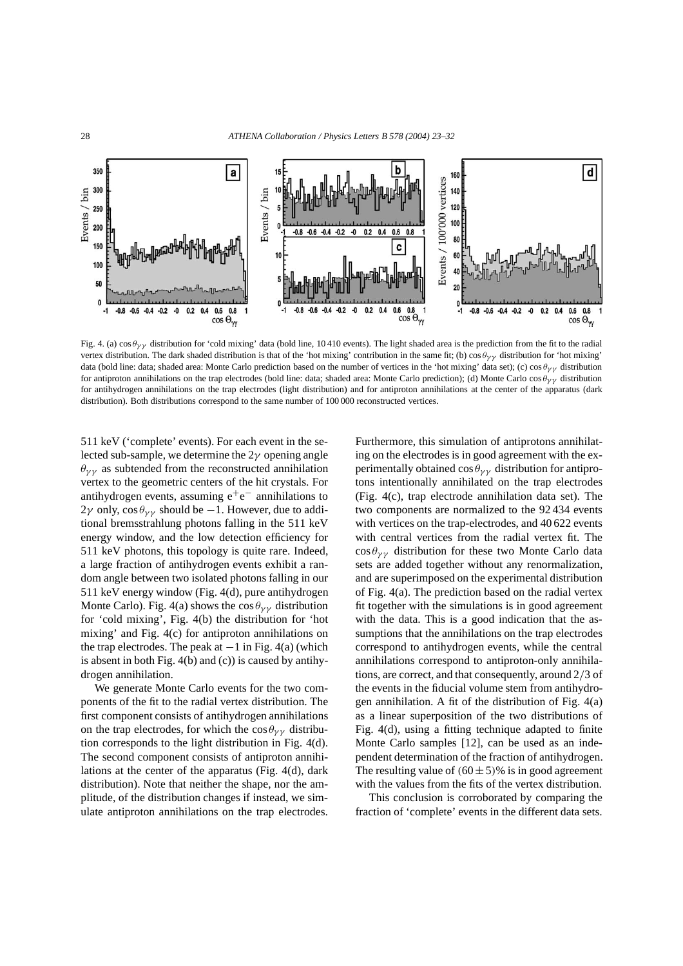

Fig. 4. (a) cos  $\theta_{\gamma\gamma}$  distribution for 'cold mixing' data (bold line, 10410 events). The light shaded area is the prediction from the fit to the radial vertex distribution. The dark shaded distribution is that of the 'hot mixing' contribution in the same fit; (b) cos *θγ γ* distribution for 'hot mixing' data (bold line: data; shaded area: Monte Carlo prediction based on the number of vertices in the 'hot mixing' data set); (c) cos *θγ γ* distribution for antiproton annihilations on the trap electrodes (bold line: data; shaded area: Monte Carlo prediction); (d) Monte Carlo cos *θγ γ* distribution for antihydrogen annihilations on the trap electrodes (light distribution) and for antiproton annihilations at the center of the apparatus (dark distribution). Both distributions correspond to the same number of 100 000 reconstructed vertices.

511 keV ('complete' events). For each event in the selected sub-sample, we determine the 2*γ* opening angle  $\theta_{\gamma\gamma}$  as subtended from the reconstructed annihilation vertex to the geometric centers of the hit crystals. For antihydrogen events, assuming  $e^+e^-$  annihilations to  $2\gamma$  only,  $\cos\theta_{\gamma\gamma}$  should be  $-1$ . However, due to additional bremsstrahlung photons falling in the 511 keV energy window, and the low detection efficiency for 511 keV photons, this topology is quite rare. Indeed, a large fraction of antihydrogen events exhibit a random angle between two isolated photons falling in our 511 keV energy window (Fig. 4(d), pure antihydrogen Monte Carlo). Fig. 4(a) shows the  $\cos \theta_{\gamma \gamma}$  distribution for 'cold mixing', Fig. 4(b) the distribution for 'hot mixing' and Fig. 4(c) for antiproton annihilations on the trap electrodes. The peak at  $-1$  in Fig. 4(a) (which is absent in both Fig. 4(b) and (c)) is caused by antihydrogen annihilation.

We generate Monte Carlo events for the two components of the fit to the radial vertex distribution. The first component consists of antihydrogen annihilations on the trap electrodes, for which the  $\cos \theta_{\gamma \gamma}$  distribution corresponds to the light distribution in Fig. 4(d). The second component consists of antiproton annihilations at the center of the apparatus (Fig. 4(d), dark distribution). Note that neither the shape, nor the amplitude, of the distribution changes if instead, we simulate antiproton annihilations on the trap electrodes. Furthermore, this simulation of antiprotons annihilating on the electrodes is in good agreement with the experimentally obtained  $\cos \theta_{\gamma \gamma}$  distribution for antiprotons intentionally annihilated on the trap electrodes (Fig. 4(c), trap electrode annihilation data set). The two components are normalized to the 92 434 events with vertices on the trap-electrodes, and 40 622 events with central vertices from the radial vertex fit. The  $\cos \theta_{\gamma \gamma}$  distribution for these two Monte Carlo data sets are added together without any renormalization, and are superimposed on the experimental distribution of Fig. 4(a). The prediction based on the radial vertex fit together with the simulations is in good agreement with the data. This is a good indication that the assumptions that the annihilations on the trap electrodes correspond to antihydrogen events, while the central annihilations correspond to antiproton-only annihilations, are correct, and that consequently, around 2*/*3 of the events in the fiducial volume stem from antihydrogen annihilation. A fit of the distribution of Fig. 4(a) as a linear superposition of the two distributions of Fig. 4(d), using a fitting technique adapted to finite Monte Carlo samples [12], can be used as an independent determination of the fraction of antihydrogen. The resulting value of  $(60 \pm 5)\%$  is in good agreement with the values from the fits of the vertex distribution.

This conclusion is corroborated by comparing the fraction of 'complete' events in the different data sets.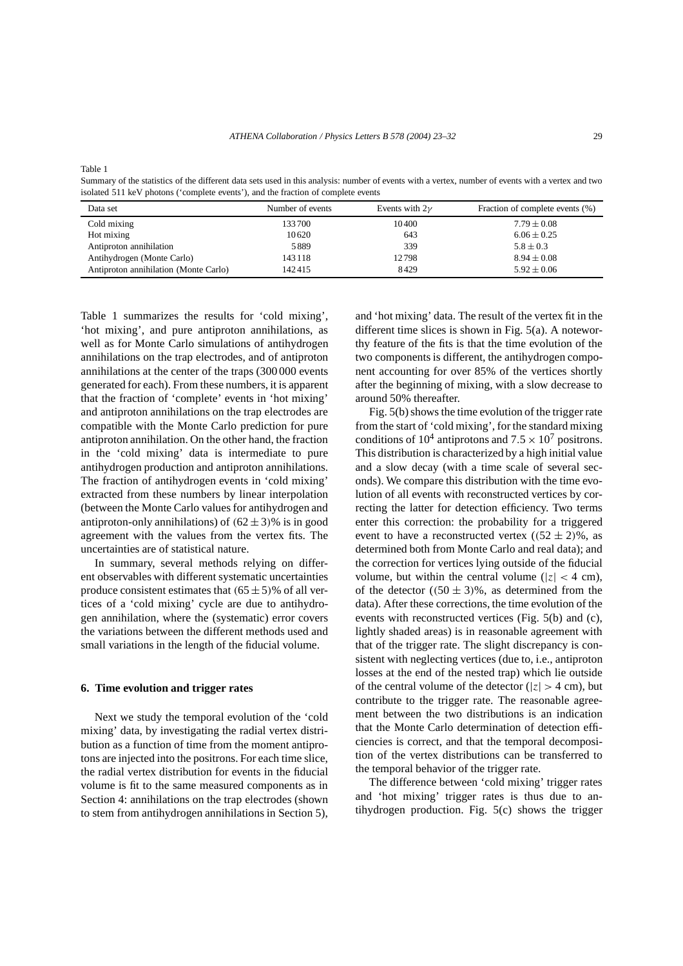Table 1

Summary of the statistics of the different data sets used in this analysis: number of events with a vertex, number of events with a vertex and two isolated 511 keV photons ('complete events'), and the fraction of complete events

| Data set                              | Number of events | Events with $2\nu$ | Fraction of complete events (%) |
|---------------------------------------|------------------|--------------------|---------------------------------|
| Cold mixing                           | 133700           | 10400              | $7.79 \pm 0.08$                 |
| Hot mixing                            | 10620            | 643                | $6.06 \pm 0.25$                 |
| Antiproton annihilation               | 5889             | 339                | $5.8 \pm 0.3$                   |
| Antihydrogen (Monte Carlo)            | 143 118          | 12798              | $8.94 \pm 0.08$                 |
| Antiproton annihilation (Monte Carlo) | 142415           | 8429               | $5.92 \pm 0.06$                 |

Table 1 summarizes the results for 'cold mixing', 'hot mixing', and pure antiproton annihilations, as well as for Monte Carlo simulations of antihydrogen annihilations on the trap electrodes, and of antiproton annihilations at the center of the traps (300 000 events generated for each). From these numbers, it is apparent that the fraction of 'complete' events in 'hot mixing' and antiproton annihilations on the trap electrodes are compatible with the Monte Carlo prediction for pure antiproton annihilation. On the other hand, the fraction in the 'cold mixing' data is intermediate to pure antihydrogen production and antiproton annihilations. The fraction of antihydrogen events in 'cold mixing' extracted from these numbers by linear interpolation (between the Monte Carlo values for antihydrogen and antiproton-only annihilations) of  $(62 \pm 3)\%$  is in good agreement with the values from the vertex fits. The uncertainties are of statistical nature.

In summary, several methods relying on different observables with different systematic uncertainties produce consistent estimates that  $(65 \pm 5)$ % of all vertices of a 'cold mixing' cycle are due to antihydrogen annihilation, where the (systematic) error covers the variations between the different methods used and small variations in the length of the fiducial volume.

#### **6. Time evolution and trigger rates**

Next we study the temporal evolution of the 'cold mixing' data, by investigating the radial vertex distribution as a function of time from the moment antiprotons are injected into the positrons. For each time slice, the radial vertex distribution for events in the fiducial volume is fit to the same measured components as in Section 4: annihilations on the trap electrodes (shown to stem from antihydrogen annihilations in Section 5), and 'hot mixing' data. The result of the vertex fit in the different time slices is shown in Fig. 5(a). A noteworthy feature of the fits is that the time evolution of the two components is different, the antihydrogen component accounting for over 85% of the vertices shortly after the beginning of mixing, with a slow decrease to around 50% thereafter.

Fig. 5(b) shows the time evolution of the trigger rate from the start of 'cold mixing', for the standard mixing conditions of  $10^4$  antiprotons and  $7.5 \times 10^7$  positrons. This distribution is characterized by a high initial value and a slow decay (with a time scale of several seconds). We compare this distribution with the time evolution of all events with reconstructed vertices by correcting the latter for detection efficiency. Two terms enter this correction: the probability for a triggered event to have a reconstructed vertex  $((52 \pm 2)\%)$ , as determined both from Monte Carlo and real data); and the correction for vertices lying outside of the fiducial volume, but within the central volume ( $|z| < 4$  cm), of the detector  $((50 \pm 3)\%)$ , as determined from the data). After these corrections, the time evolution of the events with reconstructed vertices (Fig. 5(b) and (c), lightly shaded areas) is in reasonable agreement with that of the trigger rate. The slight discrepancy is consistent with neglecting vertices (due to, i.e., antiproton losses at the end of the nested trap) which lie outside of the central volume of the detector ( $|z| > 4$  cm), but contribute to the trigger rate. The reasonable agreement between the two distributions is an indication that the Monte Carlo determination of detection efficiencies is correct, and that the temporal decomposition of the vertex distributions can be transferred to the temporal behavior of the trigger rate.

The difference between 'cold mixing' trigger rates and 'hot mixing' trigger rates is thus due to antihydrogen production. Fig. 5(c) shows the trigger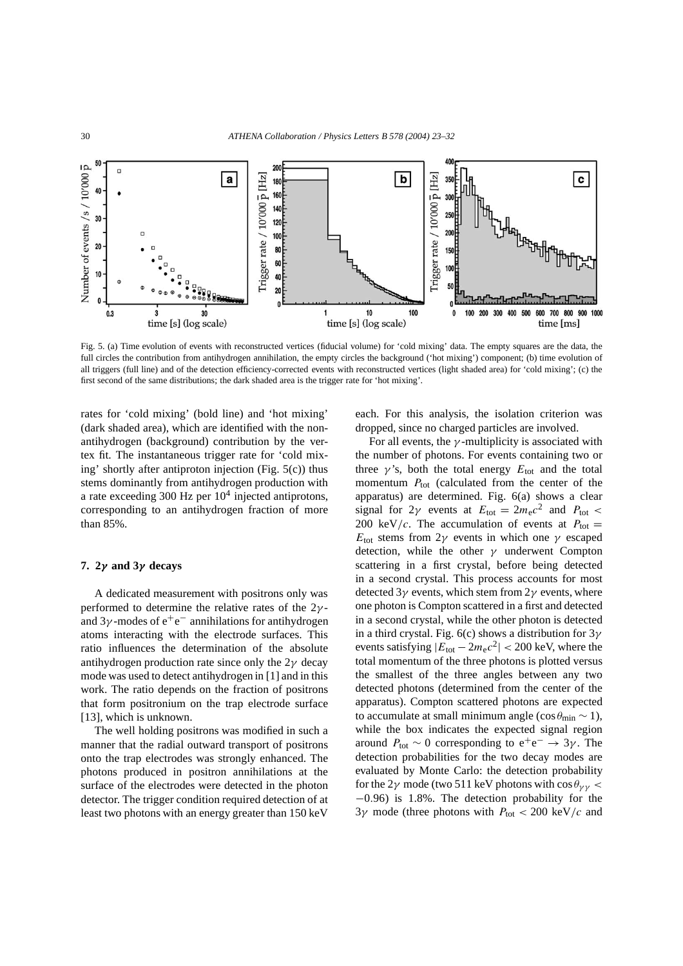

Fig. 5. (a) Time evolution of events with reconstructed vertices (fiducial volume) for 'cold mixing' data. The empty squares are the data, the full circles the contribution from antihydrogen annihilation, the empty circles the background ('hot mixing') component; (b) time evolution of all triggers (full line) and of the detection efficiency-corrected events with reconstructed vertices (light shaded area) for 'cold mixing'; (c) the first second of the same distributions; the dark shaded area is the trigger rate for 'hot mixing'.

rates for 'cold mixing' (bold line) and 'hot mixing' (dark shaded area), which are identified with the nonantihydrogen (background) contribution by the vertex fit. The instantaneous trigger rate for 'cold mixing' shortly after antiproton injection (Fig. 5(c)) thus stems dominantly from antihydrogen production with a rate exceeding 300 Hz per  $10<sup>4</sup>$  injected antiprotons, corresponding to an antihydrogen fraction of more than 85%.

# **7. 2***γ* **and 3***γ* **decays**

A dedicated measurement with positrons only was performed to determine the relative rates of the 2*γ* and  $3\gamma$ -modes of  $e^+e^-$  annihilations for antihydrogen atoms interacting with the electrode surfaces. This ratio influences the determination of the absolute antihydrogen production rate since only the 2*γ* decay mode was used to detect antihydrogen in [1] and in this work. The ratio depends on the fraction of positrons that form positronium on the trap electrode surface [13], which is unknown.

The well holding positrons was modified in such a manner that the radial outward transport of positrons onto the trap electrodes was strongly enhanced. The photons produced in positron annihilations at the surface of the electrodes were detected in the photon detector. The trigger condition required detection of at least two photons with an energy greater than 150 keV each. For this analysis, the isolation criterion was dropped, since no charged particles are involved.

For all events, the  $\gamma$ -multiplicity is associated with the number of photons. For events containing two or three  $\gamma$ 's, both the total energy  $E_{\text{tot}}$  and the total momentum  $P_{\text{tot}}$  (calculated from the center of the apparatus) are determined. Fig. 6(a) shows a clear signal for  $2\gamma$  events at  $E_{\text{tot}} = 2m_e c^2$  and  $P_{\text{tot}} <$ 200 keV/c. The accumulation of events at  $P_{\text{tot}} =$ *E*<sub>tot</sub> stems from 2*γ* events in which one *γ* escaped detection, while the other *γ* underwent Compton scattering in a first crystal, before being detected in a second crystal. This process accounts for most detected 3*γ* events, which stem from 2*γ* events, where one photon is Compton scattered in a first and detected in a second crystal, while the other photon is detected in a third crystal. Fig. 6(c) shows a distribution for 3*γ* events satisfying  $|E_{\text{tot}} - 2m_e c^2| < 200$  keV, where the total momentum of the three photons is plotted versus the smallest of the three angles between any two detected photons (determined from the center of the apparatus). Compton scattered photons are expected to accumulate at small minimum angle ( $\cos \theta_{\text{min}} \sim 1$ ), while the box indicates the expected signal region around  $P_{\text{tot}} \sim 0$  corresponding to  $e^+e^- \rightarrow 3\gamma$ . The detection probabilities for the two decay modes are evaluated by Monte Carlo: the detection probability for the 2*γ* mode (two 511 keV photons with  $\cos \theta_{\gamma \gamma}$  < −0*.*96) is 1.8%. The detection probability for the 3γ mode (three photons with  $P_{\text{tot}}$  < 200 keV/c and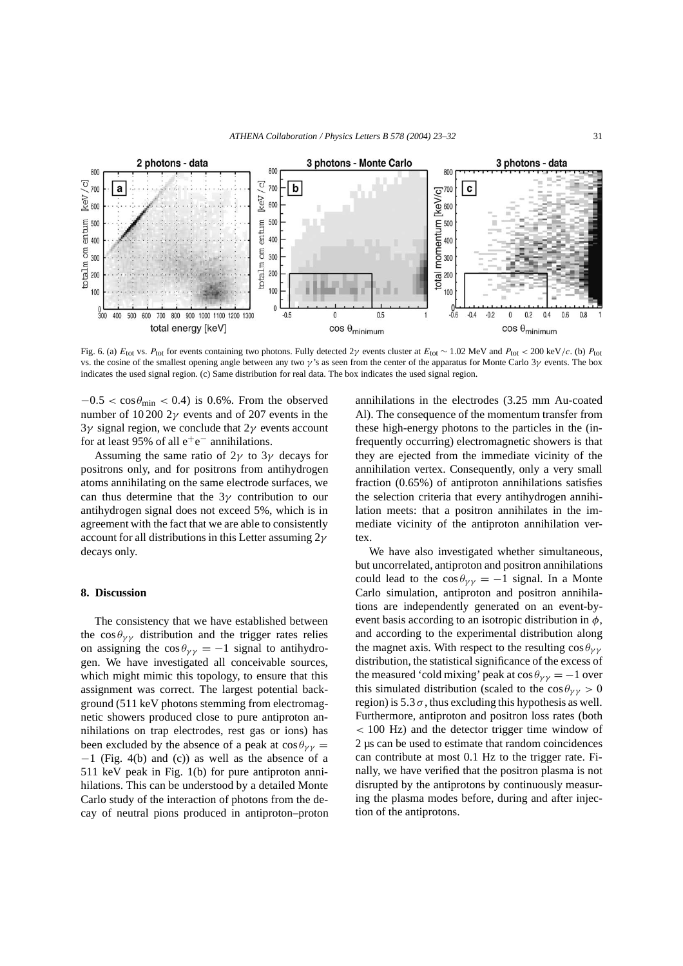

Fig. 6. (a)  $E_{\text{tot}}$  vs.  $P_{\text{tot}}$  for events containing two photons. Fully detected 2*γ* events cluster at  $E_{\text{tot}} \sim 1.02$  MeV and  $P_{\text{tot}} < 200$  keV/*c*. (b)  $P_{\text{tot}}$ vs. the cosine of the smallest opening angle between any two *γ* 's as seen from the center of the apparatus for Monte Carlo 3*γ* events. The box indicates the used signal region. (c) Same distribution for real data. The box indicates the used signal region.

 $-0.5 < \cos \theta_{\text{min}} < 0.4$ ) is 0.6%. From the observed number of 10 200 2*γ* events and of 207 events in the 3*γ* signal region, we conclude that 2*γ* events account for at least 95% of all  $e^+e^-$  annihilations.

Assuming the same ratio of 2*γ* to 3*γ* decays for positrons only, and for positrons from antihydrogen atoms annihilating on the same electrode surfaces, we can thus determine that the 3*γ* contribution to our antihydrogen signal does not exceed 5%, which is in agreement with the fact that we are able to consistently account for all distributions in this Letter assuming 2*γ* decays only.

## **8. Discussion**

The consistency that we have established between the  $\cos \theta_{\gamma \gamma}$  distribution and the trigger rates relies on assigning the  $\cos \theta_{\gamma\gamma} = -1$  signal to antihydrogen. We have investigated all conceivable sources, which might mimic this topology, to ensure that this assignment was correct. The largest potential background (511 keV photons stemming from electromagnetic showers produced close to pure antiproton annihilations on trap electrodes, rest gas or ions) has been excluded by the absence of a peak at  $\cos \theta_{\gamma\gamma} =$ −1 (Fig. 4(b) and (c)) as well as the absence of a 511 keV peak in Fig. 1(b) for pure antiproton annihilations. This can be understood by a detailed Monte Carlo study of the interaction of photons from the decay of neutral pions produced in antiproton–proton

annihilations in the electrodes (3.25 mm Au-coated Al). The consequence of the momentum transfer from these high-energy photons to the particles in the (infrequently occurring) electromagnetic showers is that they are ejected from the immediate vicinity of the annihilation vertex. Consequently, only a very small fraction (0.65%) of antiproton annihilations satisfies the selection criteria that every antihydrogen annihilation meets: that a positron annihilates in the immediate vicinity of the antiproton annihilation vertex.

We have also investigated whether simultaneous, but uncorrelated, antiproton and positron annihilations could lead to the  $\cos \theta_{\gamma\gamma} = -1$  signal. In a Monte Carlo simulation, antiproton and positron annihilations are independently generated on an event-byevent basis according to an isotropic distribution in *φ*, and according to the experimental distribution along the magnet axis. With respect to the resulting  $\cos\theta_{\gamma\gamma}$ distribution, the statistical significance of the excess of the measured 'cold mixing' peak at  $\cos \theta_{\gamma\gamma} = -1$  over this simulated distribution (scaled to the  $\cos \theta_{\gamma\gamma} > 0$ region) is  $5.3 \sigma$ , thus excluding this hypothesis as well. Furthermore, antiproton and positron loss rates (both *<* 100 Hz) and the detector trigger time window of 2 µs can be used to estimate that random coincidences can contribute at most 0.1 Hz to the trigger rate. Finally, we have verified that the positron plasma is not disrupted by the antiprotons by continuously measuring the plasma modes before, during and after injection of the antiprotons.